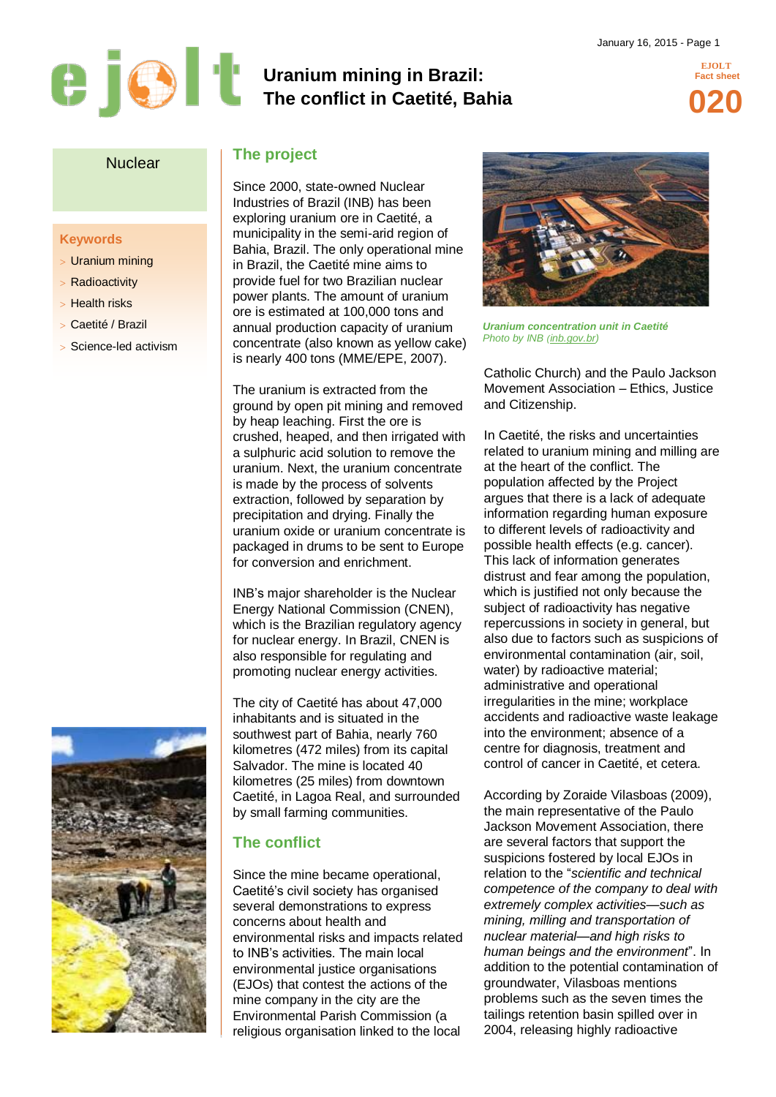# **Uranium mining in Brazil: The conflict in Caetité, Bahia**

**EJOLT Fact sheet 020**

#### **Nuclear**

#### **Keywords**

- Uranium mining
- Radioactivity
- $>$  Health risks
- Caetité / Brazil
- > Science-led activism

# **The project**

Since 2000, state-owned Nuclear Industries of Brazil (INB) has been exploring uranium ore in Caetité, a municipality in the semi-arid region of Bahia, Brazil. The only operational mine in Brazil, the Caetité mine aims to provide fuel for two Brazilian nuclear power plants. The amount of uranium ore is estimated at 100,000 tons and annual production capacity of uranium concentrate (also known as yellow cake) is nearly 400 tons (MME/EPE, 2007).

The uranium is extracted from the ground by open pit mining and removed by heap leaching. First the ore is crushed, heaped, and then irrigated with a sulphuric acid solution to remove the uranium. Next, the uranium concentrate is made by the process of solvents extraction, followed by separation by precipitation and drying. Finally the uranium oxide or uranium concentrate is packaged in drums to be sent to Europe for conversion and enrichment.

INB's major shareholder is the Nuclear Energy National Commission (CNEN), which is the Brazilian regulatory agency for nuclear energy. In Brazil, CNEN is also responsible for regulating and promoting nuclear energy activities.

The city of Caetité has about 47,000 inhabitants and is situated in the southwest part of Bahia, nearly 760 kilometres (472 miles) from its capital Salvador. The mine is located 40 kilometres (25 miles) from downtown Caetité, in Lagoa Real, and surrounded by small farming communities.

# **The conflict**

Since the mine became operational, Caetité's civil society has organised several demonstrations to express concerns about health and environmental risks and impacts related to INB's activities. The main local environmental justice organisations (EJOs) that contest the actions of the mine company in the city are the Environmental Parish Commission (a religious organisation linked to the local



*Uranium concentration unit in Caetité Photo by INB (inb.gov.br)*

Catholic Church) and the Paulo Jackson Movement Association – Ethics, Justice and Citizenship.

In Caetité, the risks and uncertainties related to uranium mining and milling are at the heart of the conflict. The population affected by the Project argues that there is a lack of adequate information regarding human exposure to different levels of radioactivity and possible health effects (e.g. cancer). This lack of information generates distrust and fear among the population, which is justified not only because the subject of radioactivity has negative repercussions in society in general, but also due to factors such as suspicions of environmental contamination (air, soil, water) by radioactive material; administrative and operational irregularities in the mine; workplace accidents and radioactive waste leakage into the environment; absence of a centre for diagnosis, treatment and control of cancer in Caetité, et cetera.

According by Zoraide Vilasboas (2009), the main representative of the Paulo Jackson Movement Association, there are several factors that support the suspicions fostered by local EJOs in relation to the "*scientific and technical competence of the company to deal with extremely complex activities—such as mining, milling and transportation of nuclear material—and high risks to human beings and the environment*". In addition to the potential contamination of groundwater, Vilasboas mentions problems such as the seven times the tailings retention basin spilled over in 2004, releasing highly radioactive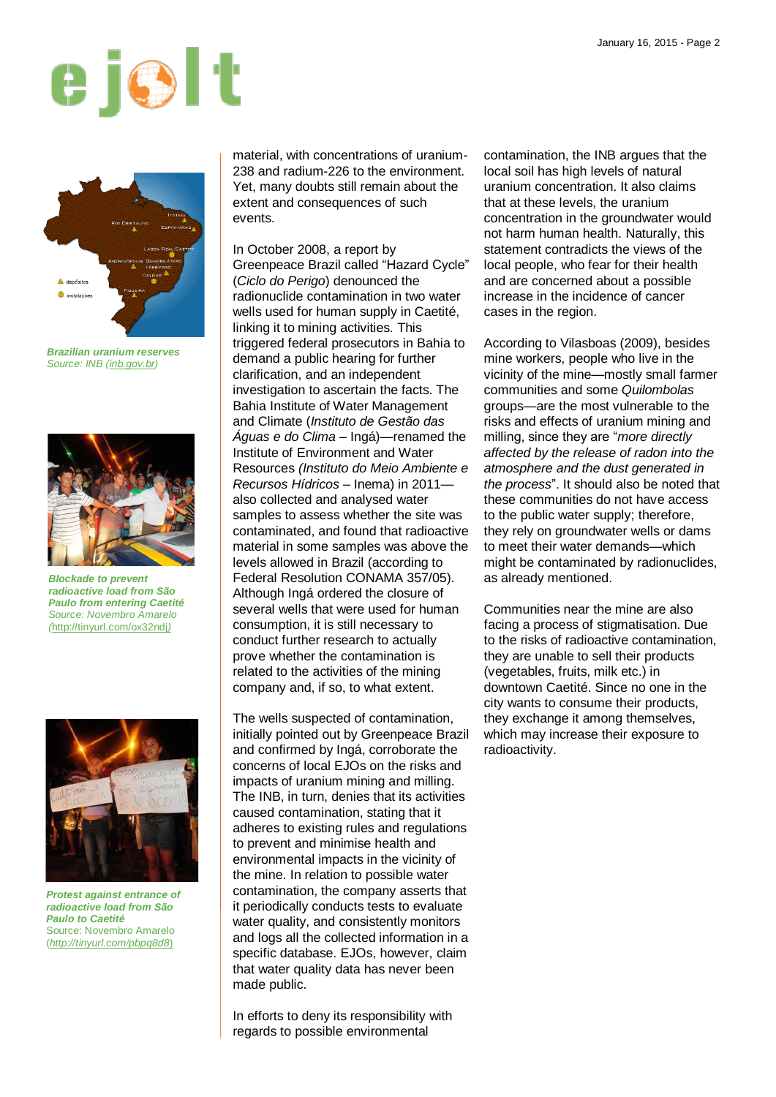



*Brazilian uranium reserves Source: INB (inb.gov.br)*



*Blockade to prevent radioactive load from São Paulo from entering Caetité Source: Novembro Amarelo (*<http://tinyurl.com/ox32ndj>*)*



*Protest against entrance of radioactive load from São Paulo to Caetité* Source: Novembro Amarelo (*<http://tinyurl.com/pbpq8d8>*)

material, with concentrations of uranium-238 and radium-226 to the environment. Yet, many doubts still remain about the extent and consequences of such events.

In October 2008, a report by Greenpeace Brazil called "Hazard Cycle" (*Ciclo do Perigo*) denounced the radionuclide contamination in two water wells used for human supply in Caetité, linking it to mining activities. This triggered federal prosecutors in Bahia to demand a public hearing for further clarification, and an independent investigation to ascertain the facts. The Bahia Institute of Water Management and Climate (*Instituto de Gestão das Águas e do Clima* – Ingá)—renamed the Institute of Environment and Water Resources *(Instituto do Meio Ambiente e Recursos Hídricos* – Inema) in 2011 also collected and analysed water samples to assess whether the site was contaminated, and found that radioactive material in some samples was above the levels allowed in Brazil (according to Federal Resolution CONAMA 357/05). Although Ingá ordered the closure of several wells that were used for human consumption, it is still necessary to conduct further research to actually prove whether the contamination is related to the activities of the mining company and, if so, to what extent.

The wells suspected of contamination, initially pointed out by Greenpeace Brazil and confirmed by Ingá, corroborate the concerns of local EJOs on the risks and impacts of uranium mining and milling. The INB, in turn, denies that its activities caused contamination, stating that it adheres to existing rules and regulations to prevent and minimise health and environmental impacts in the vicinity of the mine. In relation to possible water contamination, the company asserts that it periodically conducts tests to evaluate water quality, and consistently monitors and logs all the collected information in a specific database. EJOs, however, claim that water quality data has never been made public.

In efforts to deny its responsibility with regards to possible environmental

contamination, the INB argues that the local soil has high levels of natural uranium concentration. It also claims that at these levels, the uranium concentration in the groundwater would not harm human health. Naturally, this statement contradicts the views of the local people, who fear for their health and are concerned about a possible increase in the incidence of cancer cases in the region.

According to Vilasboas (2009), besides mine workers, people who live in the vicinity of the mine—mostly small farmer communities and some *Quilombolas* groups—are the most vulnerable to the risks and effects of uranium mining and milling, since they are "*more directly affected by the release of radon into the atmosphere and the dust generated in the process*". It should also be noted that these communities do not have access to the public water supply; therefore, they rely on groundwater wells or dams to meet their water demands—which might be contaminated by radionuclides, as already mentioned.

Communities near the mine are also facing a process of stigmatisation. Due to the risks of radioactive contamination, they are unable to sell their products (vegetables, fruits, milk etc.) in downtown Caetité. Since no one in the city wants to consume their products, they exchange it among themselves, which may increase their exposure to radioactivity.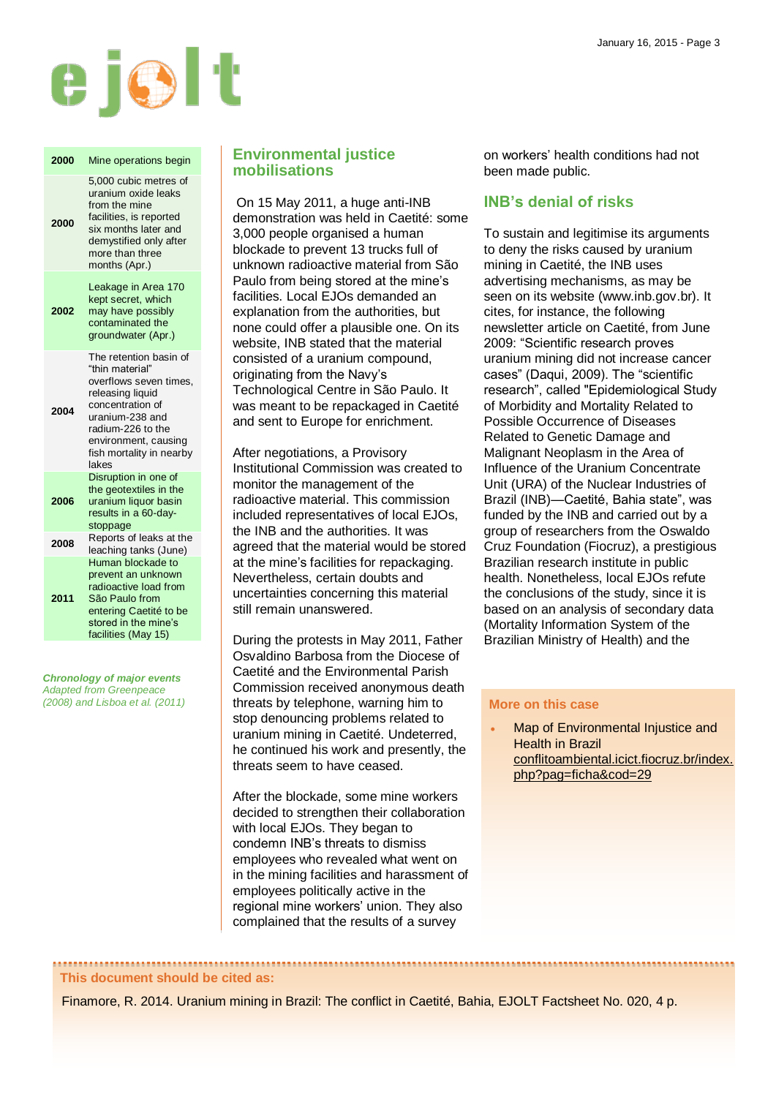

| 2000 | Mine operations begin                                                                                                                                                                                            |
|------|------------------------------------------------------------------------------------------------------------------------------------------------------------------------------------------------------------------|
| 2000 | 5.000 cubic metres of<br>uranium oxide leaks<br>from the mine<br>facilities, is reported<br>six months later and<br>demystified only after<br>more than three<br>months (Apr.)                                   |
| 2002 | Leakage in Area 170<br>kept secret, which<br>may have possibly<br>contaminated the<br>groundwater (Apr.)                                                                                                         |
| 2004 | The retention basin of<br>"thin material"<br>overflows seven times.<br>releasing liquid<br>concentration of<br>uranium-238 and<br>radium-226 to the<br>environment, causing<br>fish mortality in nearby<br>lakes |
| 2006 | Disruption in one of<br>the geotextiles in the<br>uranium liquor basin<br>results in a 60-day-<br>stoppage                                                                                                       |
| 2008 | Reports of leaks at the<br>leaching tanks (June)                                                                                                                                                                 |
| 2011 | Human blockade to<br>prevent an unknown<br>radioactive load from<br>São Paulo from<br>entering Caetité to be<br>stored in the mine's<br>facilities (May 15)                                                      |

*Chronology of major events Adapted from Greenpeace (2008) and Lisboa et al. (2011)*

#### **Environmental justice mobilisations**

On 15 May 2011, a huge anti-INB demonstration was held in Caetité: some 3,000 people organised a human blockade to prevent 13 trucks full of unknown radioactive material from São Paulo from being stored at the mine's facilities. Local EJOs demanded an explanation from the authorities, but none could offer a plausible one. On its website, INB stated that the material consisted of a uranium compound, originating from the Navy's Technological Centre in São Paulo. It was meant to be repackaged in Caetité and sent to Europe for enrichment.

After negotiations, a Provisory Institutional Commission was created to monitor the management of the radioactive material. This commission included representatives of local EJOs, the INB and the authorities. It was agreed that the material would be stored at the mine's facilities for repackaging. Nevertheless, certain doubts and uncertainties concerning this material still remain unanswered.

During the protests in May 2011, Father Osvaldino Barbosa from the Diocese of Caetité and the Environmental Parish Commission received anonymous death threats by telephone, warning him to stop denouncing problems related to uranium mining in Caetité. Undeterred, he continued his work and presently, the threats seem to have ceased.

After the blockade, some mine workers decided to strengthen their collaboration with local EJOs. They began to condemn INB's threats to dismiss employees who revealed what went on in the mining facilities and harassment of employees politically active in the regional mine workers' union. They also complained that the results of a survey

on workers' health conditions had not been made public.

### **INB's denial of risks**

To sustain and legitimise its arguments to deny the risks caused by uranium mining in Caetité, the INB uses advertising mechanisms, as may be seen on its website (www.inb.gov.br). It cites, for instance, the following newsletter article on Caetité, from June 2009: "Scientific research proves uranium mining did not increase cancer cases" (Daqui, 2009). The "scientific research", called "Epidemiological Study of Morbidity and Mortality Related to Possible Occurrence of Diseases Related to Genetic Damage and Malignant Neoplasm in the Area of Influence of the Uranium Concentrate Unit (URA) of the Nuclear Industries of Brazil (INB)—Caetité, Bahia state", was funded by the INB and carried out by a group of researchers from the Oswaldo Cruz Foundation (Fiocruz), a prestigious Brazilian research institute in public health. Nonetheless, local EJOs refute the conclusions of the study, since it is based on an analysis of secondary data (Mortality Information System of the Brazilian Ministry of Health) and the

#### **More on this case**

 Map of Environmental Injustice and Health in Brazil [conflitoambiental.icict.fiocruz.br/index.](http://www.conflitoambiental.icict.fiocruz.br/index.php?pag=ficha&cod=29) [php?pag=ficha&cod=29](http://www.conflitoambiental.icict.fiocruz.br/index.php?pag=ficha&cod=29)

#### **This document should be cited as:**

Finamore, R. 2014. Uranium mining in Brazil: The conflict in Caetité, Bahia, EJOLT Factsheet No. 020, 4 p.